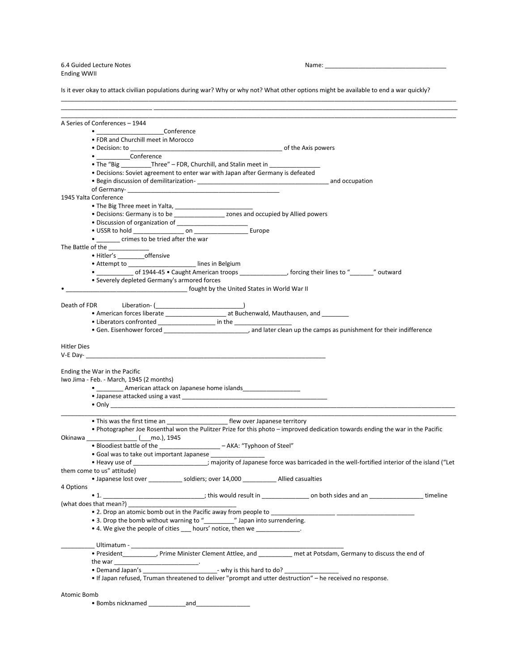6.4 Guided Lecture Notes Name: 2008 Name: 2008 Name: 2008 Name: 2008 Name: 2008 Name: 2008 Name: 2009 Name: 2008 Name: 2009 Name: 2009 Name: 2009 Name: 2009 Name: 2009 Name: 2009 Name: 2009 Name: 2009 Name: 2009 Name: 2009 Ending WWII

Is it ever okay to attack civilian populations during war? Why or why not? What other options might be available to end a war quickly?

\_\_\_\_\_\_\_\_\_\_\_\_\_\_\_\_\_\_\_\_\_\_\_\_\_\_\_\_\_\_\_\_\_\_\_\_\_\_\_\_\_\_\_\_\_\_\_\_\_\_\_\_\_\_\_\_\_\_\_\_\_\_\_\_\_\_\_\_\_\_\_\_\_\_\_\_\_\_\_\_\_\_\_\_\_\_\_\_\_\_\_\_\_\_\_\_\_\_\_\_\_\_\_\_\_\_\_\_\_\_\_\_\_\_\_\_\_

\_\_\_\_\_\_\_\_\_\_\_\_\_\_\_\_\_\_\_\_\_\_\_\_\_\_\_ \_\_\_\_\_\_\_\_\_\_\_\_\_\_\_\_\_\_\_\_\_\_\_\_\_\_\_\_\_\_\_\_\_\_\_\_\_\_\_\_\_\_\_\_\_\_\_\_\_\_\_\_\_\_\_\_\_\_\_\_\_\_\_\_\_\_\_\_\_\_\_\_\_\_\_\_\_\_\_\_\_\_\_\_\_\_\_\_\_\_ \_\_\_\_\_\_\_\_\_\_\_\_\_\_\_\_\_\_\_\_\_\_\_\_\_\_\_\_\_\_\_\_\_\_\_\_\_\_\_\_\_\_\_\_\_\_\_\_\_\_\_\_\_\_\_\_\_\_\_\_\_\_\_\_\_\_\_\_\_\_\_\_\_\_\_\_\_\_\_\_\_\_\_\_\_\_\_\_\_\_\_\_\_\_\_\_\_\_\_\_\_\_\_\_\_\_\_\_\_\_\_\_\_\_\_\_\_ A Series of Conferences – 1944 • \_\_\_\_\_\_\_\_\_\_\_\_\_\_\_\_\_\_\_\_Conference • FDR and Churchill meet in Morocco • Decision: to \_\_\_\_\_\_\_\_\_\_\_\_\_\_\_\_\_\_\_\_\_\_\_\_\_\_\_\_\_\_\_\_\_\_\_\_\_\_\_\_\_\_\_\_\_ of the Axis powers • **Conference** • The "Big Three" – FDR, Churchill, and Stalin meet in • Decisions: Soviet agreement to enter war with Japan after Germany is defeated • Begin discussion of demilitarization-<br>
<br>
• Degin discussion of demilitarizationof Germany-1945 Yalta Conference • The Big Three meet in Yalta, • Decisions: Germany is to be \_\_\_\_\_\_\_\_\_\_\_\_\_\_\_\_\_\_\_ zones and occupied by Allied powers • Discussion of organization of \_\_\_\_\_\_\_\_\_\_\_\_\_\_\_\_\_\_\_\_\_ • USSR to hold \_\_\_\_\_\_\_\_\_\_\_\_\_\_\_ on \_\_\_\_\_\_\_\_\_\_\_\_\_\_\_\_ Europe • \_\_\_\_\_\_\_ crimes to be tried after the war The Battle of the \_\_\_\_\_\_\_\_\_\_\_\_\_ • Hitler's \_\_\_\_\_\_\_\_offensive • Attempt to \_\_\_\_\_\_\_\_\_\_\_\_\_\_\_\_\_\_\_\_\_\_\_ lines in Belgium • \_\_\_\_\_\_\_\_\_\_\_ of 1944-45 • Caught American troops \_\_\_\_\_\_\_\_\_\_\_\_\_\_, forcing their lines to "\_\_\_\_\_\_\_" outward • Severely depleted Germany's armored forces **France 2** fought by the United States in World War II Death of FDR Liberation- (\_\_\_\_\_\_\_\_\_\_\_\_\_\_\_\_\_\_\_\_\_\_\_\_\_\_) • American forces liberate \_\_\_\_\_\_\_\_\_\_\_\_\_\_\_\_\_\_\_\_\_\_\_\_ at Buchenwald, Mauthausen, and \_\_\_\_\_\_\_\_\_ • Liberators confronted \_\_\_\_\_\_\_\_\_\_\_\_\_\_\_\_\_\_\_\_ in the \_\_\_\_\_\_\_\_\_\_\_\_\_\_\_\_\_\_\_\_\_\_\_\_\_\_\_\_\_ • Gen. Eisenhower forced \_\_\_\_\_\_\_\_\_\_\_\_\_\_\_\_\_\_\_\_\_\_\_\_\_, and later clean up the camps as punishment for their indifference Hitler Dies  $V-E$  Day- $\_$ Ending the War in the Pacific Iwo Jima - Feb. - March, 1945 (2 months) • \_\_\_\_\_\_\_\_\_\_ American attack on Japanese home islands • Japanese attacked using a vast \_\_\_\_\_\_\_\_\_\_\_\_\_\_\_\_\_\_\_\_\_\_\_\_\_\_\_\_\_\_\_\_\_\_\_\_\_\_\_\_\_\_\_ • Only \_\_\_\_\_\_\_\_\_\_\_\_\_\_\_\_\_\_\_\_\_\_\_\_\_\_\_\_\_\_\_\_\_\_\_\_\_\_\_\_\_\_\_\_\_\_\_\_\_\_\_\_\_\_\_\_\_\_\_\_\_\_\_\_\_\_\_\_\_\_\_\_\_\_\_\_\_\_\_\_\_\_\_\_\_\_\_\_\_\_\_\_\_\_\_\_\_\_\_\_\_\_ \_\_\_\_\_\_\_\_\_\_\_\_\_\_\_\_\_\_\_\_\_\_\_\_\_\_\_\_\_\_\_\_\_\_\_\_\_\_\_\_\_\_\_\_\_\_\_\_\_\_\_\_\_\_\_\_\_\_\_\_\_\_\_\_\_\_\_\_\_\_\_\_\_\_\_\_\_\_\_\_\_\_\_\_\_\_\_\_\_\_\_\_\_\_\_\_\_\_\_\_\_\_\_\_\_\_\_\_\_\_\_\_\_\_\_\_\_ • This was the first time an \_\_\_\_\_\_\_\_\_\_\_\_\_\_\_\_\_\_\_\_\_\_\_\_\_\_ flew over Japanese territory • Photographer Joe Rosenthal won the Pulitzer Prize for this photo – improved dedication towards ending the war in the Pacific Okinawa \_\_\_\_\_\_\_\_\_\_\_\_\_\_\_ (\_\_\_mo.), 1945 • Bloodiest battle of the \_\_\_\_\_\_\_\_\_\_\_\_\_\_\_\_\_\_\_\_\_ – AKA: "Typhoon of Steel" • Goal was to take out important Japanese \_\_\_\_\_\_\_\_\_\_\_\_\_\_\_\_ • Heavy use of \_\_\_\_\_\_\_\_\_\_\_\_\_\_\_\_\_\_\_\_\_\_; majority of Japanese force was barricaded in the well-fortified interior of the island ("Let them come to us" attitude) • Japanese lost over \_\_\_\_\_\_\_\_\_\_ soldiers; over 14,000 \_\_\_\_\_\_\_\_\_\_ Allied casualties 4 Options • 1. \_\_\_\_\_\_\_\_\_\_\_\_\_\_\_\_\_\_\_\_\_\_\_\_\_\_\_\_; this would result in \_\_\_\_\_\_\_\_\_\_\_\_\_\_\_\_ on both sides and an \_\_\_\_\_\_\_\_\_\_\_\_\_\_\_ timeline (what does that mean?) • 2. Drop an atomic bomb out in the Pacific away from people to \_\_\_\_\_\_\_\_\_\_\_\_\_\_\_\_ • 3. Drop the bomb without warning to "\_\_\_\_\_\_\_\_\_\_\_\_\_" Japan into surrendering. • 4. We give the people of cities \_\_\_ hours' notice, then we \_\_\_\_ \_\_\_\_\_\_\_\_\_\_ Ultimatum - \_\_\_\_\_\_\_\_\_\_\_\_\_\_\_\_\_\_\_\_\_\_\_\_\_\_\_\_\_\_\_\_\_\_\_\_\_\_\_\_\_\_\_\_\_\_\_\_\_\_\_\_\_\_\_\_\_\_\_\_\_\_\_ • President\_\_\_\_\_\_\_\_\_\_, Prime Minister Clement Attlee, and \_\_\_\_\_\_\_\_\_\_ met at Potsdam, Germany to discuss the end of the war • Demand Japan's \_\_\_\_\_\_\_\_\_\_\_\_\_\_\_\_\_\_\_\_\_\_- why is this hard to do? \_\_\_\_\_\_\_\_\_\_\_\_\_\_\_\_ • If Japan refused, Truman threatened to deliver "prompt and utter destruction" – he received no response. Atomic Bomb • Bombs nicknamed \_\_\_\_\_\_\_\_\_\_\_and\_\_\_\_\_\_\_\_\_\_\_\_\_\_\_\_